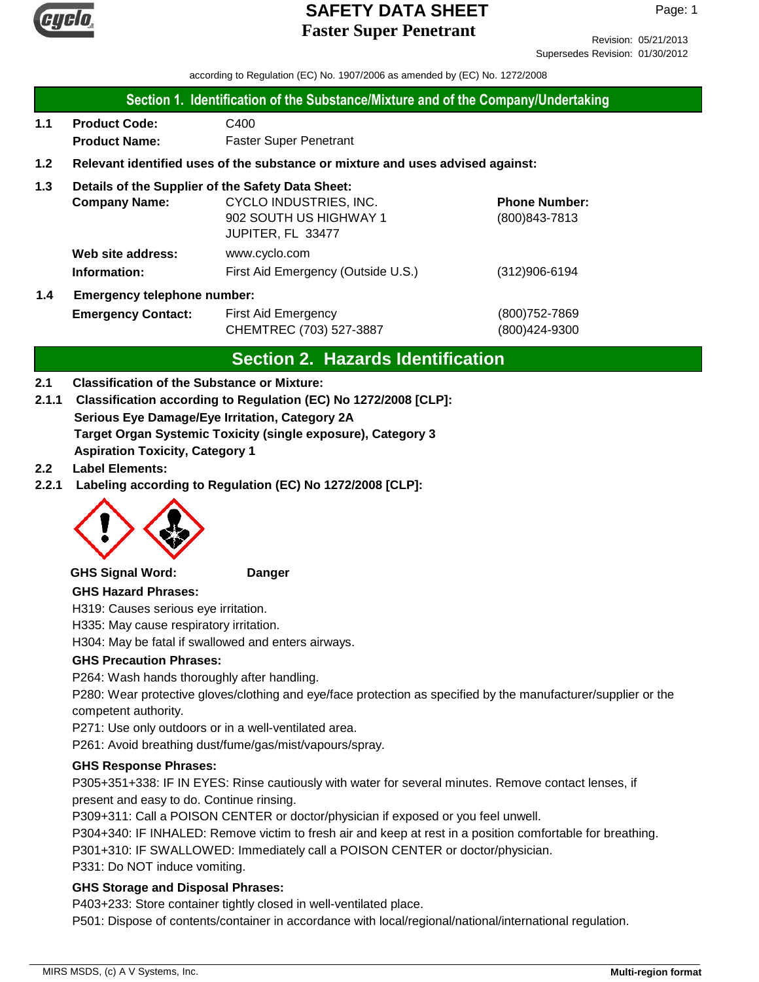

Revision: 05/21/2013 Supersedes Revision: 01/30/2012

according to Regulation (EC) No. 1907/2006 as amended by (EC) No. 1272/2008

### **Section 1. Identification of the Substance/Mixture and of the Company/Undertaking**

**1.1 Product Code:** C400  **Product Name:** Faster Super Penetrant

## **1.2 Relevant identified uses of the substance or mixture and uses advised against:**

## **1.3 Details of the Supplier of the Safety Data Sheet:**

|     | <b>Company Name:</b>               | CYCLO INDUSTRIES, INC.             | <b>Phone Number:</b> |
|-----|------------------------------------|------------------------------------|----------------------|
|     |                                    | 902 SOUTH US HIGHWAY 1             | (800) 843-7813       |
|     |                                    | JUPITER, FL 33477                  |                      |
|     | Web site address:                  | www.cyclo.com                      |                      |
|     | Information:                       | First Aid Emergency (Outside U.S.) | $(312)906 - 6194$    |
| 1.4 | <b>Emergency telephone number:</b> |                                    |                      |

**Emergency Contact:** First Aid Emergency **Emergency** (800)752-7869 CHEMTREC (703) 527-3887 (800)424-9300

## **Section 2. Hazards Identification**

## **2.1 Classification of the Substance or Mixture:**

- **Serious Eye Damage/Eye Irritation, Category 2A Target Organ Systemic Toxicity (single exposure), Category 3 Aspiration Toxicity, Category 1 2.1.1 Classification according to Regulation (EC) No 1272/2008 [CLP]:**
- **2.2 Label Elements:**
- **2.2.1 Labeling according to Regulation (EC) No 1272/2008 [CLP]:**



#### **GHS Signal Word: Danger**

## **GHS Hazard Phrases:**

H319: Causes serious eye irritation.

H335: May cause respiratory irritation.

H304: May be fatal if swallowed and enters airways.

#### **GHS Precaution Phrases:**

P264: Wash hands thoroughly after handling.

P280: Wear protective gloves/clothing and eye/face protection as specified by the manufacturer/supplier or the competent authority.

P271: Use only outdoors or in a well-ventilated area.

P261: Avoid breathing dust/fume/gas/mist/vapours/spray.

#### **GHS Response Phrases:**

P305+351+338: IF IN EYES: Rinse cautiously with water for several minutes. Remove contact lenses, if present and easy to do. Continue rinsing.

P309+311: Call a POISON CENTER or doctor/physician if exposed or you feel unwell.

P304+340: IF INHALED: Remove victim to fresh air and keep at rest in a position comfortable for breathing. P301+310: IF SWALLOWED: Immediately call a POISON CENTER or doctor/physician.

P331: Do NOT induce vomiting.

#### **GHS Storage and Disposal Phrases:**

P403+233: Store container tightly closed in well-ventilated place.

P501: Dispose of contents/container in accordance with local/regional/national/international regulation.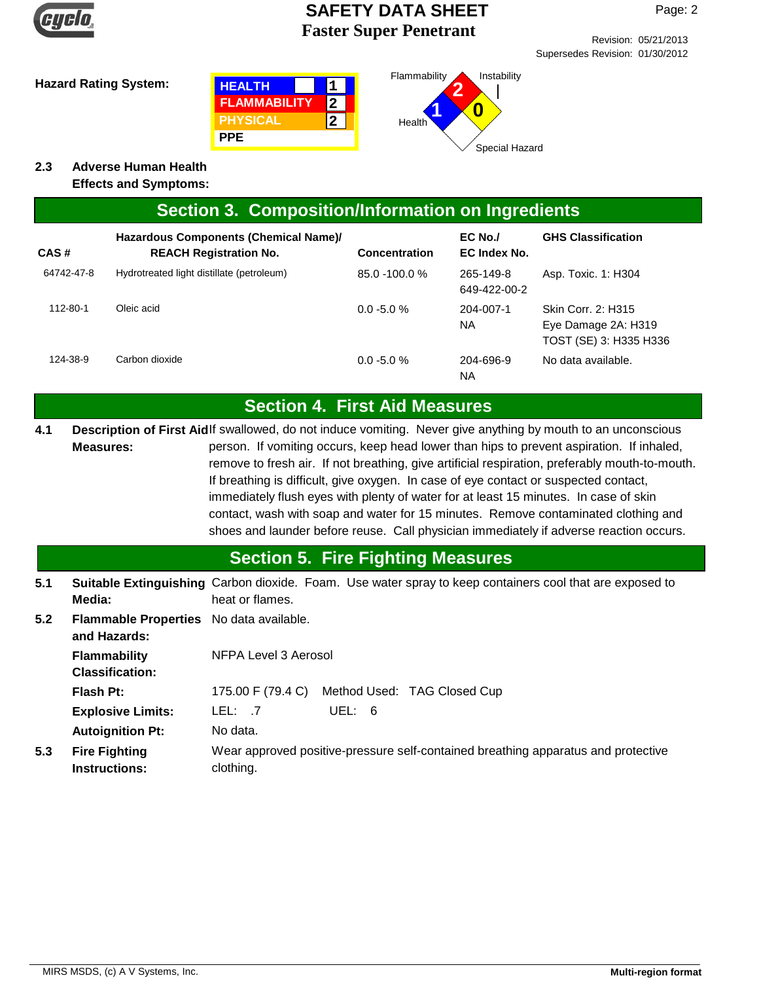

Revision: 05/21/2013 Supersedes Revision: 01/30/2012





**2.3 Adverse Human Health**

**Effects and Symptoms:**

|  | Section 3. Composition/Information on Ingredients |  |
|--|---------------------------------------------------|--|
|--|---------------------------------------------------|--|

| CAS#       | Hazardous Components (Chemical Name)/<br><b>REACH Registration No.</b> | <b>Concentration</b> | EC No./<br>EC Index No.   | <b>GHS Classification</b>                                           |
|------------|------------------------------------------------------------------------|----------------------|---------------------------|---------------------------------------------------------------------|
| 64742-47-8 | Hydrotreated light distillate (petroleum)                              | $85.0 - 100.0 %$     | 265-149-8<br>649-422-00-2 | Asp. Toxic. 1: H304                                                 |
| 112-80-1   | Oleic acid                                                             | $0.0 - 5.0 %$        | 204-007-1<br>NA           | Skin Corr. 2: H315<br>Eye Damage 2A: H319<br>TOST (SE) 3: H335 H336 |
| 124-38-9   | Carbon dioxide                                                         | $0.0 - 5.0 %$        | 204-696-9<br><b>NA</b>    | No data available.                                                  |

# **Section 4. First Aid Measures**

Description of First Aidlf swallowed, do not induce vomiting. Never give anything by mouth to an unconscious person. If vomiting occurs, keep head lower than hips to prevent aspiration. If inhaled, remove to fresh air. If not breathing, give artificial respiration, preferably mouth-to-mouth. If breathing is difficult, give oxygen. In case of eye contact or suspected contact, immediately flush eyes with plenty of water for at least 15 minutes. In case of skin contact, wash with soap and water for 15 minutes. Remove contaminated clothing and shoes and launder before reuse. Call physician immediately if adverse reaction occurs. **Measures: 4.1**

# **Section 5. Fire Fighting Measures**

**5.1** Suitable Extinguishing Carbon dioxide. Foam. Use water spray to keep containers cool that are exposed to heat or flames. **Media:**

| 5.2 | Flammable Properties No data available.<br>and Hazards: |                                                                                                |  |
|-----|---------------------------------------------------------|------------------------------------------------------------------------------------------------|--|
|     | <b>Flammability</b><br><b>Classification:</b>           | NFPA Level 3 Aerosol                                                                           |  |
|     | Flash Pt:                                               | Method Used: TAG Closed Cup<br>175.00 F (79.4 C)                                               |  |
|     | <b>Explosive Limits:</b>                                | LEL: 7<br>UEL: 6                                                                               |  |
|     | <b>Autoignition Pt:</b>                                 | No data.                                                                                       |  |
| 5.3 | <b>Fire Fighting</b><br><b>Instructions:</b>            | Wear approved positive-pressure self-contained breathing apparatus and protective<br>clothing. |  |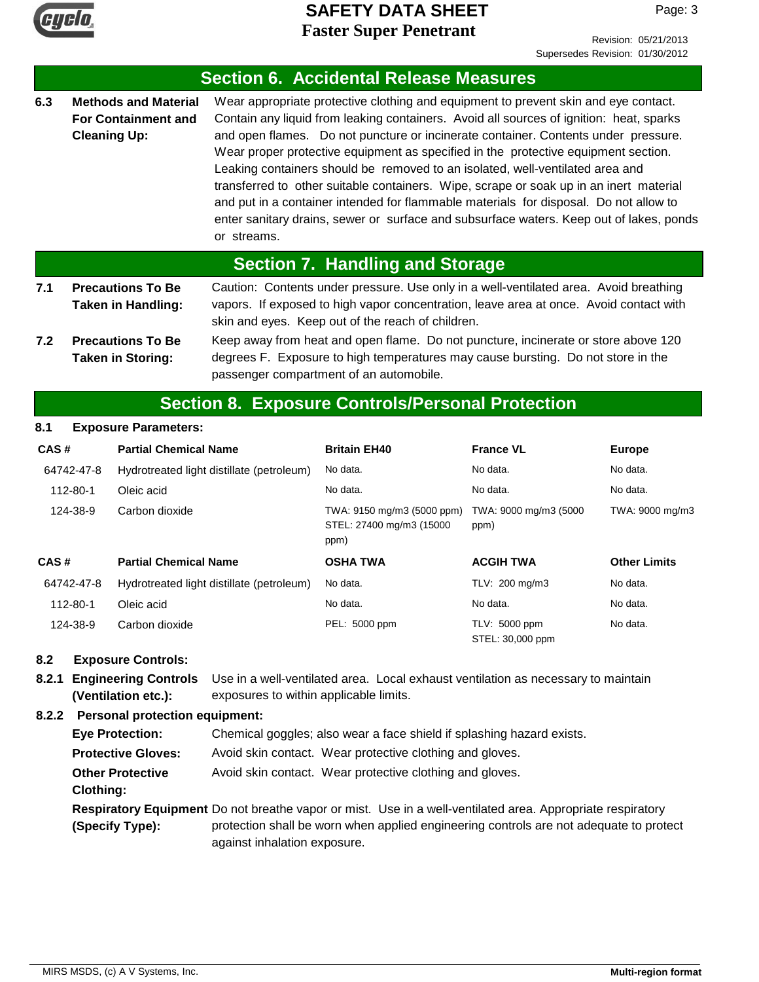

Revision: 05/21/2013 Supersedes Revision: 01/30/2012

|                                                                                                                                                                                                                                                                                                                                                                                                                                                                                                                                                                                   |                                                                                  |                                                         | <b>Section 6. Accidental Release Measures</b>                                                                                                                                                                                                                                                                                                                                                                                                                                                                                                                                                                                                                                                                             |                               |                     |
|-----------------------------------------------------------------------------------------------------------------------------------------------------------------------------------------------------------------------------------------------------------------------------------------------------------------------------------------------------------------------------------------------------------------------------------------------------------------------------------------------------------------------------------------------------------------------------------|----------------------------------------------------------------------------------|---------------------------------------------------------|---------------------------------------------------------------------------------------------------------------------------------------------------------------------------------------------------------------------------------------------------------------------------------------------------------------------------------------------------------------------------------------------------------------------------------------------------------------------------------------------------------------------------------------------------------------------------------------------------------------------------------------------------------------------------------------------------------------------------|-------------------------------|---------------------|
| 6.3                                                                                                                                                                                                                                                                                                                                                                                                                                                                                                                                                                               | <b>Methods and Material</b><br><b>For Containment and</b><br><b>Cleaning Up:</b> | or streams.                                             | Wear appropriate protective clothing and equipment to prevent skin and eye contact.<br>Contain any liquid from leaking containers. Avoid all sources of ignition: heat, sparks<br>and open flames. Do not puncture or incinerate container. Contents under pressure.<br>Wear proper protective equipment as specified in the protective equipment section.<br>Leaking containers should be removed to an isolated, well-ventilated area and<br>transferred to other suitable containers. Wipe, scrape or soak up in an inert material<br>and put in a container intended for flammable materials for disposal. Do not allow to<br>enter sanitary drains, sewer or surface and subsurface waters. Keep out of lakes, ponds |                               |                     |
|                                                                                                                                                                                                                                                                                                                                                                                                                                                                                                                                                                                   |                                                                                  |                                                         | <b>Section 7. Handling and Storage</b>                                                                                                                                                                                                                                                                                                                                                                                                                                                                                                                                                                                                                                                                                    |                               |                     |
| <b>Precautions To Be</b><br>7.1<br>Caution: Contents under pressure. Use only in a well-ventilated area. Avoid breathing<br>Taken in Handling:<br>vapors. If exposed to high vapor concentration, leave area at once. Avoid contact with<br>skin and eyes. Keep out of the reach of children.<br>Keep away from heat and open flame. Do not puncture, incinerate or store above 120<br>7.2<br><b>Precautions To Be</b><br><b>Taken in Storing:</b><br>degrees F. Exposure to high temperatures may cause bursting. Do not store in the<br>passenger compartment of an automobile. |                                                                                  |                                                         |                                                                                                                                                                                                                                                                                                                                                                                                                                                                                                                                                                                                                                                                                                                           |                               |                     |
|                                                                                                                                                                                                                                                                                                                                                                                                                                                                                                                                                                                   |                                                                                  | <b>Section 8. Exposure Controls/Personal Protection</b> |                                                                                                                                                                                                                                                                                                                                                                                                                                                                                                                                                                                                                                                                                                                           |                               |                     |
| 8.1                                                                                                                                                                                                                                                                                                                                                                                                                                                                                                                                                                               | <b>Exposure Parameters:</b>                                                      |                                                         |                                                                                                                                                                                                                                                                                                                                                                                                                                                                                                                                                                                                                                                                                                                           |                               |                     |
| CAS#                                                                                                                                                                                                                                                                                                                                                                                                                                                                                                                                                                              |                                                                                  | <b>Partial Chemical Name</b>                            | <b>Britain EH40</b>                                                                                                                                                                                                                                                                                                                                                                                                                                                                                                                                                                                                                                                                                                       | <b>France VL</b>              | <b>Europe</b>       |
|                                                                                                                                                                                                                                                                                                                                                                                                                                                                                                                                                                                   | 64742-47-8                                                                       | Hydrotreated light distillate (petroleum)               | No data.                                                                                                                                                                                                                                                                                                                                                                                                                                                                                                                                                                                                                                                                                                                  | No data.                      | No data.            |
|                                                                                                                                                                                                                                                                                                                                                                                                                                                                                                                                                                                   | $112 - 80 - 1$<br>Oleic acid                                                     |                                                         | No data.                                                                                                                                                                                                                                                                                                                                                                                                                                                                                                                                                                                                                                                                                                                  | No data.                      | No data.            |
|                                                                                                                                                                                                                                                                                                                                                                                                                                                                                                                                                                                   | 124-38-9<br>Carbon dioxide                                                       |                                                         | TWA: 9150 mg/m3 (5000 ppm)<br>STEL: 27400 mg/m3 (15000<br>ppm)                                                                                                                                                                                                                                                                                                                                                                                                                                                                                                                                                                                                                                                            | TWA: 9000 mg/m3 (5000<br>ppm) | TWA: 9000 mg/m3     |
| CAS#                                                                                                                                                                                                                                                                                                                                                                                                                                                                                                                                                                              |                                                                                  | <b>Partial Chemical Name</b>                            | <b>OSHA TWA</b>                                                                                                                                                                                                                                                                                                                                                                                                                                                                                                                                                                                                                                                                                                           | <b>ACGIH TWA</b>              | <b>Other Limits</b> |
|                                                                                                                                                                                                                                                                                                                                                                                                                                                                                                                                                                                   | 64742-47-8                                                                       | Hydrotreated light distillate (petroleum)               | No data.                                                                                                                                                                                                                                                                                                                                                                                                                                                                                                                                                                                                                                                                                                                  | TLV: 200 mg/m3                | No data.            |

| 124-38-9 | Carbon dioxide | PEL: 5000 ppm | TLV: 5000 ppm    | No data. |
|----------|----------------|---------------|------------------|----------|
|          |                |               | STEL: 30,000 ppm |          |

## **8.2 Exposure Controls:**

**8.2.1 Engineering Controls** Use in a well-ventilated area. Local exhaust ventilation as necessary to maintain exposures to within applicable limits. **(Ventilation etc.):**

112-80-1 Oleic acid No data. No data. No data.

## **8.2.2 Personal protection equipment:**

Respiratory Equipment Do not breathe vapor or mist. Use in a well-ventilated area. Appropriate respiratory protection shall be worn when applied engineering controls are not adequate to protect against inhalation exposure. **(Specify Type): Eye Protection:** Chemical goggles; also wear a face shield if splashing hazard exists. **Protective Gloves:** Avoid skin contact. Wear protective clothing and gloves. **Other Protective** Avoid skin contact. Wear protective clothing and gloves. **Clothing:**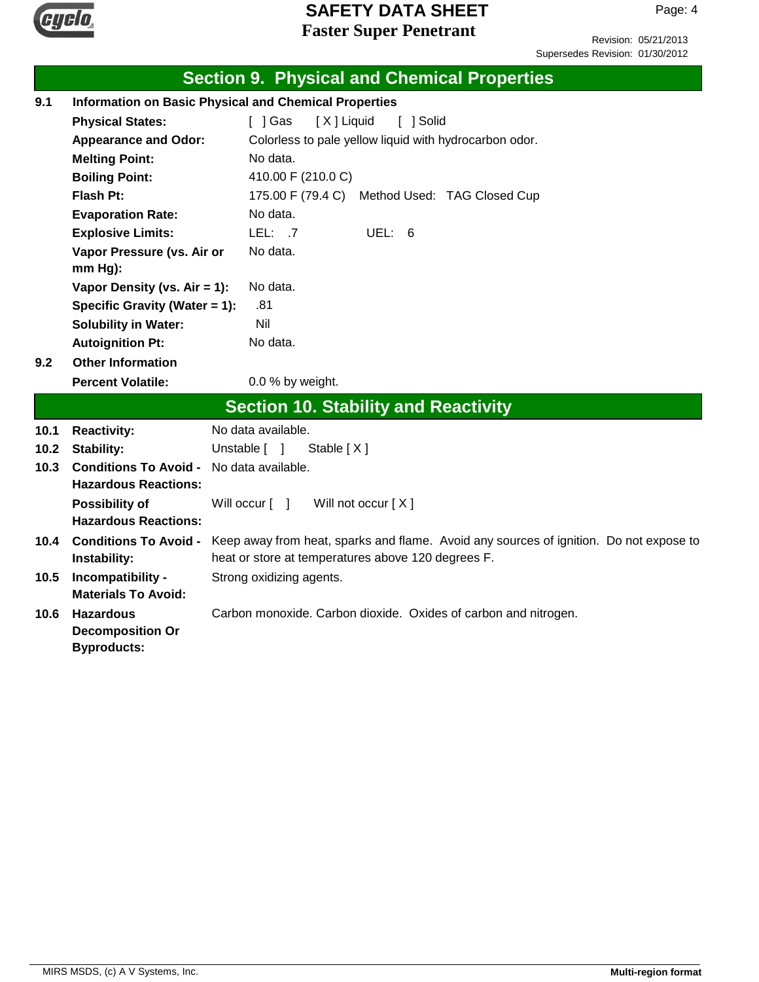

Revision: 05/21/2013 Supersedes Revision: 01/30/2012

|      |                                                              | <b>Section 9. Physical and Chemical Properties</b>                                     |  |  |
|------|--------------------------------------------------------------|----------------------------------------------------------------------------------------|--|--|
| 9.1  | <b>Information on Basic Physical and Chemical Properties</b> |                                                                                        |  |  |
|      | <b>Physical States:</b>                                      | [X] Liquid<br>[ ] Gas<br>[ ] Solid                                                     |  |  |
|      | <b>Appearance and Odor:</b>                                  | Colorless to pale yellow liquid with hydrocarbon odor.                                 |  |  |
|      | <b>Melting Point:</b>                                        | No data.                                                                               |  |  |
|      | <b>Boiling Point:</b>                                        | 410.00 F (210.0 C)                                                                     |  |  |
|      | Flash Pt:                                                    | 175.00 F (79.4 C) Method Used: TAG Closed Cup                                          |  |  |
|      | <b>Evaporation Rate:</b>                                     | No data.                                                                               |  |  |
|      | <b>Explosive Limits:</b>                                     | LEL: .7<br>UEL: 6                                                                      |  |  |
|      | Vapor Pressure (vs. Air or                                   | No data.                                                                               |  |  |
|      | mm Hg):                                                      |                                                                                        |  |  |
|      | Vapor Density (vs. Air = 1):                                 | No data.                                                                               |  |  |
|      | Specific Gravity (Water = 1):                                | .81                                                                                    |  |  |
|      | <b>Solubility in Water:</b>                                  | Nil                                                                                    |  |  |
|      | <b>Autoignition Pt:</b>                                      | No data.                                                                               |  |  |
| 9.2  | <b>Other Information</b>                                     |                                                                                        |  |  |
|      | <b>Percent Volatile:</b>                                     | 0.0 % by weight.                                                                       |  |  |
|      |                                                              | <b>Section 10. Stability and Reactivity</b>                                            |  |  |
| 10.1 | <b>Reactivity:</b>                                           | No data available.                                                                     |  |  |
| 10.2 | <b>Stability:</b>                                            | Unstable [ ]<br>Stable $[X]$                                                           |  |  |
| 10.3 | <b>Conditions To Avoid -</b>                                 | No data available.                                                                     |  |  |
|      | <b>Hazardous Reactions:</b>                                  |                                                                                        |  |  |
|      | <b>Possibility of</b>                                        | Will not occur [X]<br>Will occur [ ]                                                   |  |  |
|      | <b>Hazardous Reactions:</b>                                  |                                                                                        |  |  |
| 10.4 | <b>Conditions To Avoid -</b>                                 | Keep away from heat, sparks and flame. Avoid any sources of ignition. Do not expose to |  |  |
|      | Instability:                                                 | heat or store at temperatures above 120 degrees F.                                     |  |  |
| 10.5 | Incompatibility -                                            | Strong oxidizing agents.                                                               |  |  |
|      | <b>Materials To Avoid:</b>                                   |                                                                                        |  |  |
| 10.6 | <b>Hazardous</b>                                             | Carbon monoxide. Carbon dioxide. Oxides of carbon and nitrogen.                        |  |  |
|      | <b>Decomposition Or</b>                                      |                                                                                        |  |  |
|      | <b>Byproducts:</b>                                           |                                                                                        |  |  |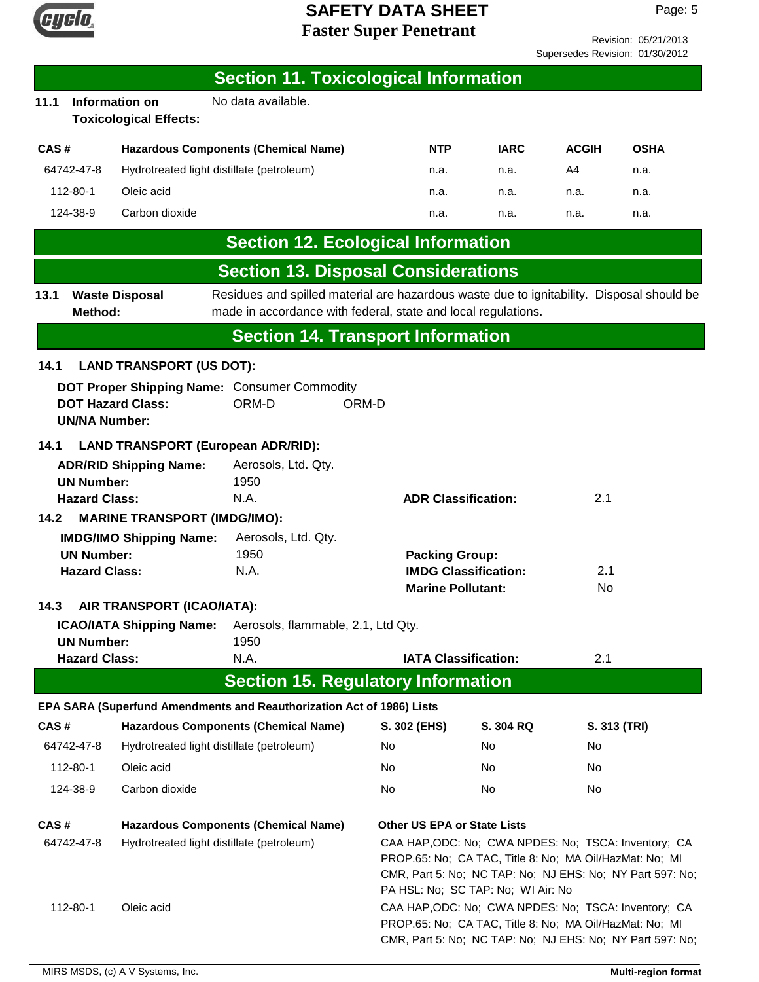

Revision: 05/21/2013 Supersedes Revision: 01/30/2012

|      |                                           |                                                        | <b>Section 11. Toxicological Information</b>                                                                                                               |              |                             |                                    |                                                                                                                 |                                                           |
|------|-------------------------------------------|--------------------------------------------------------|------------------------------------------------------------------------------------------------------------------------------------------------------------|--------------|-----------------------------|------------------------------------|-----------------------------------------------------------------------------------------------------------------|-----------------------------------------------------------|
| 11.1 |                                           | <b>Information on</b><br><b>Toxicological Effects:</b> | No data available.                                                                                                                                         |              |                             |                                    |                                                                                                                 |                                                           |
| CAS# |                                           |                                                        | <b>Hazardous Components (Chemical Name)</b>                                                                                                                |              | NTP                         | <b>IARC</b>                        | <b>ACGIH</b>                                                                                                    | <b>OSHA</b>                                               |
|      | 64742-47-8                                | Hydrotreated light distillate (petroleum)              |                                                                                                                                                            |              | n.a.                        | n.a.                               | A4                                                                                                              | n.a.                                                      |
|      | 112-80-1                                  | Oleic acid                                             |                                                                                                                                                            |              | n.a.                        | n.a.                               | n.a.                                                                                                            | n.a.                                                      |
|      | 124-38-9                                  | Carbon dioxide                                         |                                                                                                                                                            |              | n.a.                        | n.a.                               | n.a.                                                                                                            | n.a.                                                      |
|      |                                           |                                                        | <b>Section 12. Ecological Information</b>                                                                                                                  |              |                             |                                    |                                                                                                                 |                                                           |
|      |                                           |                                                        | <b>Section 13. Disposal Considerations</b>                                                                                                                 |              |                             |                                    |                                                                                                                 |                                                           |
| 13.1 | Method:                                   | <b>Waste Disposal</b>                                  | Residues and spilled material are hazardous waste due to ignitability. Disposal should be<br>made in accordance with federal, state and local regulations. |              |                             |                                    |                                                                                                                 |                                                           |
|      |                                           |                                                        | <b>Section 14. Transport Information</b>                                                                                                                   |              |                             |                                    |                                                                                                                 |                                                           |
| 14.1 |                                           | <b>LAND TRANSPORT (US DOT):</b>                        |                                                                                                                                                            |              |                             |                                    |                                                                                                                 |                                                           |
|      | <b>UN/NA Number:</b>                      | <b>DOT Hazard Class:</b>                               | DOT Proper Shipping Name: Consumer Commodity<br>ORM-D                                                                                                      | ORM-D        |                             |                                    |                                                                                                                 |                                                           |
| 14.1 |                                           | <b>LAND TRANSPORT (European ADR/RID):</b>              |                                                                                                                                                            |              |                             |                                    |                                                                                                                 |                                                           |
|      |                                           | <b>ADR/RID Shipping Name:</b>                          | Aerosols, Ltd. Qty.                                                                                                                                        |              |                             |                                    |                                                                                                                 |                                                           |
|      | <b>UN Number:</b><br><b>Hazard Class:</b> |                                                        | 1950<br>N.A.                                                                                                                                               |              | <b>ADR Classification:</b>  |                                    | 2.1                                                                                                             |                                                           |
| 14.2 |                                           | <b>MARINE TRANSPORT (IMDG/IMO):</b>                    |                                                                                                                                                            |              |                             |                                    |                                                                                                                 |                                                           |
|      |                                           | <b>IMDG/IMO Shipping Name:</b>                         | Aerosols, Ltd. Qty.                                                                                                                                        |              |                             |                                    |                                                                                                                 |                                                           |
|      | <b>UN Number:</b>                         |                                                        | 1950                                                                                                                                                       |              | <b>Packing Group:</b>       |                                    |                                                                                                                 |                                                           |
|      | <b>Hazard Class:</b>                      |                                                        | N.A.                                                                                                                                                       |              | <b>Marine Pollutant:</b>    | <b>IMDG Classification:</b>        | 2.1<br>No                                                                                                       |                                                           |
| 14.3 |                                           | AIR TRANSPORT (ICAO/IATA):                             |                                                                                                                                                            |              |                             |                                    |                                                                                                                 |                                                           |
|      | <b>UN Number:</b>                         | <b>ICAO/IATA Shipping Name:</b>                        | Aerosols, flammable, 2.1, Ltd Qty.<br>1950                                                                                                                 |              |                             |                                    |                                                                                                                 |                                                           |
|      | <b>Hazard Class:</b>                      |                                                        | N.A.                                                                                                                                                       |              | <b>IATA Classification:</b> |                                    | 2.1                                                                                                             |                                                           |
|      |                                           |                                                        | <b>Section 15. Regulatory Information</b>                                                                                                                  |              |                             |                                    |                                                                                                                 |                                                           |
|      |                                           |                                                        | EPA SARA (Superfund Amendments and Reauthorization Act of 1986) Lists                                                                                      |              |                             |                                    |                                                                                                                 |                                                           |
| CAS# |                                           |                                                        | <b>Hazardous Components (Chemical Name)</b>                                                                                                                | S. 302 (EHS) |                             | S. 304 RQ                          | S. 313 (TRI)                                                                                                    |                                                           |
|      | 64742-47-8                                | Hydrotreated light distillate (petroleum)              |                                                                                                                                                            | No           |                             | No                                 | No.                                                                                                             |                                                           |
|      | 112-80-1                                  | Oleic acid                                             |                                                                                                                                                            | No           |                             | No                                 | No                                                                                                              |                                                           |
|      | 124-38-9                                  | Carbon dioxide                                         |                                                                                                                                                            | No           |                             | No                                 | No                                                                                                              |                                                           |
| CAS# |                                           |                                                        | <b>Hazardous Components (Chemical Name)</b>                                                                                                                |              |                             | <b>Other US EPA or State Lists</b> |                                                                                                                 |                                                           |
|      | 64742-47-8                                | Hydrotreated light distillate (petroleum)              |                                                                                                                                                            |              |                             | PA HSL: No; SC TAP: No; WI Air: No | CAA HAP, ODC: No; CWA NPDES: No; TSCA: Inventory; CA<br>PROP.65: No; CA TAC, Title 8: No; MA Oil/HazMat: No; MI | CMR, Part 5: No; NC TAP: No; NJ EHS: No; NY Part 597: No; |
|      | 112-80-1                                  | Oleic acid                                             |                                                                                                                                                            |              |                             |                                    | CAA HAP, ODC: No; CWA NPDES: No; TSCA: Inventory; CA<br>PROP.65: No; CA TAC, Title 8: No; MA Oil/HazMat: No; MI | CMR, Part 5: No; NC TAP: No; NJ EHS: No; NY Part 597: No; |